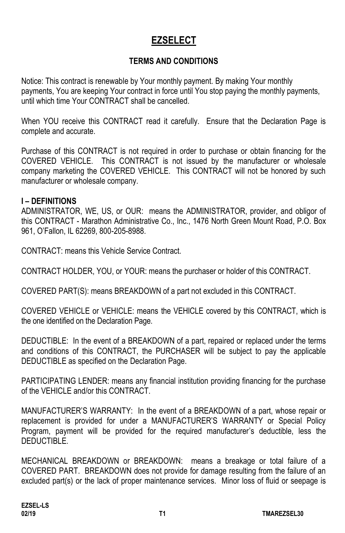# **EZSELECT**

## **TERMS AND CONDITIONS**

Notice: This contract is renewable by Your monthly payment. By making Your monthly payments, You are keeping Your contract in force until You stop paying the monthly payments, until which time Your CONTRACT shall be cancelled.

When YOU receive this CONTRACT read it carefully. Ensure that the Declaration Page is complete and accurate.

Purchase of this CONTRACT is not required in order to purchase or obtain financing for the COVERED VEHICLE. This CONTRACT is not issued by the manufacturer or wholesale company marketing the COVERED VEHICLE. This CONTRACT will not be honored by such manufacturer or wholesale company.

#### **I – DEFINITIONS**

ADMINISTRATOR, WE, US, or OUR: means the ADMINISTRATOR, provider, and obligor of this CONTRACT - Marathon Administrative Co., Inc., 1476 North Green Mount Road, P.O. Box 961, O'Fallon, IL 62269, 800-205-8988.

CONTRACT: means this Vehicle Service Contract.

CONTRACT HOLDER, YOU, or YOUR: means the purchaser or holder of this CONTRACT.

COVERED PART(S): means BREAKDOWN of a part not excluded in this CONTRACT.

COVERED VEHICLE or VEHICLE: means the VEHICLE covered by this CONTRACT, which is the one identified on the Declaration Page.

DEDUCTIBLE: In the event of a BREAKDOWN of a part, repaired or replaced under the terms and conditions of this CONTRACT, the PURCHASER will be subject to pay the applicable DEDUCTIBLE as specified on the Declaration Page.

PARTICIPATING LENDER: means any financial institution providing financing for the purchase of the VEHICLE and/or this CONTRACT.

MANUFACTURER'S WARRANTY: In the event of a BREAKDOWN of a part, whose repair or replacement is provided for under a MANUFACTURER'S WARRANTY or Special Policy Program, payment will be provided for the required manufacturer's deductible, less the DEDUCTIBLE.

MECHANICAL BREAKDOWN or BREAKDOWN: means a breakage or total failure of a COVERED PART. BREAKDOWN does not provide for damage resulting from the failure of an excluded part(s) or the lack of proper maintenance services. Minor loss of fluid or seepage is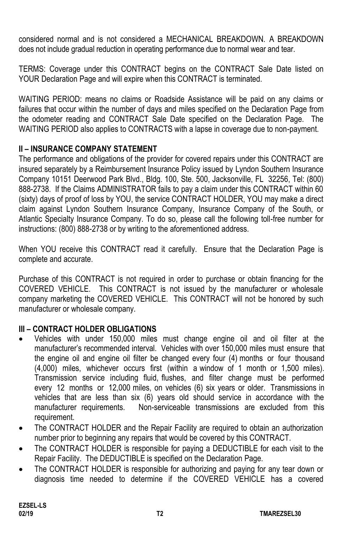considered normal and is not considered a MECHANICAL BREAKDOWN. A BREAKDOWN does not include gradual reduction in operating performance due to normal wear and tear.

TERMS: Coverage under this CONTRACT begins on the CONTRACT Sale Date listed on YOUR Declaration Page and will expire when this CONTRACT is terminated.

WAITING PERIOD: means no claims or Roadside Assistance will be paid on any claims or failures that occur within the number of days and miles specified on the Declaration Page from the odometer reading and CONTRACT Sale Date specified on the Declaration Page. The WAITING PERIOD also applies to CONTRACTS with a lapse in coverage due to non-payment.

## **II – INSURANCE COMPANY STATEMENT**

The performance and obligations of the provider for covered repairs under this CONTRACT are insured separately by a Reimbursement Insurance Policy issued by Lyndon Southern Insurance Company 10151 Deerwood Park Blvd., Bldg. 100, Ste. 500, Jacksonville, FL 32256, Tel: (800) 888-2738. If the Claims ADMINISTRATOR fails to pay a claim under this CONTRACT within 60 (sixty) days of proof of loss by YOU, the service CONTRACT HOLDER, YOU may make a direct claim against Lyndon Southern Insurance Company, Insurance Company of the South, or Atlantic Specialty Insurance Company. To do so, please call the following toll-free number for instructions: (800) 888-2738 or by writing to the aforementioned address.

When YOU receive this CONTRACT read it carefully. Ensure that the Declaration Page is complete and accurate.

Purchase of this CONTRACT is not required in order to purchase or obtain financing for the COVERED VEHICLE. This CONTRACT is not issued by the manufacturer or wholesale company marketing the COVERED VEHICLE. This CONTRACT will not be honored by such manufacturer or wholesale company.

## **III – CONTRACT HOLDER OBLIGATIONS**

- Vehicles with under 150,000 miles must change engine oil and oil filter at the manufacturer's recommended interval. Vehicles with over 150,000 miles must ensure that the engine oil and engine oil filter be changed every four (4) months or four thousand (4,000) miles, whichever occurs first (within a window of 1 month or 1,500 miles). Transmission service including fluid, flushes, and filter change must be performed every 12 months or 12,000 miles, on vehicles (6) six years or older. Transmissions in vehicles that are less than six (6) years old should service in accordance with the manufacturer requirements. Non-serviceable transmissions are excluded from this requirement.
- The CONTRACT HOLDER and the Repair Facility are required to obtain an authorization number prior to beginning any repairs that would be covered by this CONTRACT.
- The CONTRACT HOLDER is responsible for paying a DEDUCTIBLE for each visit to the Repair Facility. The DEDUCTIBLE is specified on the Declaration Page.
- The CONTRACT HOLDER is responsible for authorizing and paying for any tear down or diagnosis time needed to determine if the COVERED VEHICLE has a covered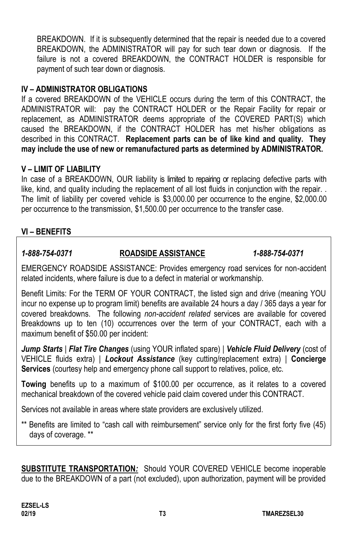BREAKDOWN. If it is subsequently determined that the repair is needed due to a covered BREAKDOWN, the ADMINISTRATOR will pay for such tear down or diagnosis. If the failure is not a covered BREAKDOWN, the CONTRACT HOLDER is responsible for payment of such tear down or diagnosis.

#### **IV – ADMINISTRATOR OBLIGATIONS**

If a covered BREAKDOWN of the VEHICLE occurs during the term of this CONTRACT, the ADMINISTRATOR will: pay the CONTRACT HOLDER or the Repair Facility for repair or replacement, as ADMINISTRATOR deems appropriate of the COVERED PART(S) which caused the BREAKDOWN, if the CONTRACT HOLDER has met his/her obligations as described in this CONTRACT. **Replacement parts can be of like kind and quality. They may include the use of new or remanufactured parts as determined by ADMINISTRATOR.**

#### **V – LIMIT OF LIABILITY**

In case of a BREAKDOWN, OUR liability is limited to repairing or replacing defective parts with like, kind, and quality including the replacement of all lost fluids in conjunction with the repair. . The limit of liability per covered vehicle is \$3,000.00 per occurrence to the engine, \$2,000.00 per occurrence to the transmission, \$1,500.00 per occurrence to the transfer case.

#### **VI – BENEFITS**

#### *1-888-754-0371* **ROADSIDE ASSISTANCE** *1-888-754-0371*

EMERGENCY ROADSIDE ASSISTANCE: Provides emergency road services for non-accident related incidents, where failure is due to a defect in material or workmanship.

Benefit Limits: For the TERM OF YOUR CONTRACT, the listed sign and drive (meaning YOU incur no expense up to program limit) benefits are available 24 hours a day / 365 days a year for covered breakdowns. The following *non-accident related* services are available for covered Breakdowns up to ten (10) occurrences over the term of your CONTRACT, each with a maximum benefit of \$50.00 per incident:

*Jump Starts* | *Flat Tire Changes* (using YOUR inflated spare) | *Vehicle Fluid Delivery* (cost of VEHICLE fluids extra) | *Lockout Assistance* (key cutting/replacement extra) | **Concierge Services** (courtesy help and emergency phone call support to relatives, police, etc.

**Towing** benefits up to a maximum of \$100.00 per occurrence, as it relates to a covered mechanical breakdown of the covered vehicle paid claim covered under this CONTRACT.

Services not available in areas where state providers are exclusively utilized.

\*\* Benefits are limited to "cash call with reimbursement" service only for the first forty five (45) days of coverage. \*\*

**SUBSTITUTE TRANSPORTATION***:* Should YOUR COVERED VEHICLE become inoperable due to the BREAKDOWN of a part (not excluded), upon authorization, payment will be provided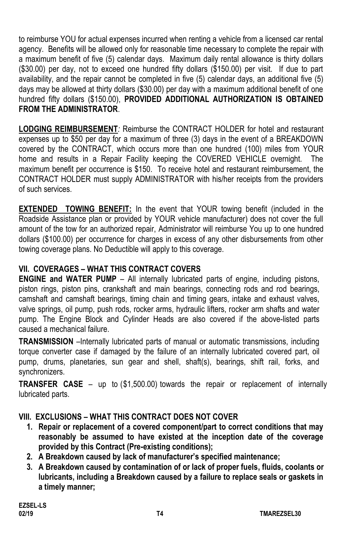to reimburse YOU for actual expenses incurred when renting a vehicle from a licensed car rental agency. Benefits will be allowed only for reasonable time necessary to complete the repair with a maximum benefit of five (5) calendar days. Maximum daily rental allowance is thirty dollars (\$30.00) per day, not to exceed one hundred fifty dollars (\$150.00) per visit. If due to part availability, and the repair cannot be completed in five (5) calendar days, an additional five (5) days may be allowed at thirty dollars (\$30.00) per day with a maximum additional benefit of one hundred fifty dollars (\$150.00), **PROVIDED ADDITIONAL AUTHORIZATION IS OBTAINED FROM THE ADMINISTRATOR**.

**LODGING REIMBURSEMENT***:* Reimburse the CONTRACT HOLDER for hotel and restaurant expenses up to \$50 per day for a maximum of three (3) days in the event of a BREAKDOWN covered by the CONTRACT, which occurs more than one hundred (100) miles from YOUR home and results in a Repair Facility keeping the COVERED VEHICLE overnight. The maximum benefit per occurrence is \$150. To receive hotel and restaurant reimbursement, the CONTRACT HOLDER must supply ADMINISTRATOR with his/her receipts from the providers of such services.

**EXTENDED TOWING BENEFIT:** In the event that YOUR towing benefit (included in the Roadside Assistance plan or provided by YOUR vehicle manufacturer) does not cover the full amount of the tow for an authorized repair, Administrator will reimburse You up to one hundred dollars (\$100.00) per occurrence for charges in excess of any other disbursements from other towing coverage plans. No Deductible will apply to this coverage.

## **VII. COVERAGES – WHAT THIS CONTRACT COVERS**

**ENGINE and WATER PUMP** – All internally lubricated parts of engine, including pistons, piston rings, piston pins, crankshaft and main bearings, connecting rods and rod bearings, camshaft and camshaft bearings, timing chain and timing gears, intake and exhaust valves, valve springs, oil pump, push rods, rocker arms, hydraulic lifters, rocker arm shafts and water pump. The Engine Block and Cylinder Heads are also covered if the above-listed parts caused a mechanical failure.

**TRANSMISSION** –Internally lubricated parts of manual or automatic transmissions, including torque converter case if damaged by the failure of an internally lubricated covered part, oil pump, drums, planetaries, sun gear and shell, shaft(s), bearings, shift rail, forks, and synchronizers.

**TRANSFER CASE** – up to (\$1,500.00) towards the repair or replacement of internally lubricated parts.

## **VIII. EXCLUSIONS – WHAT THIS CONTRACT DOES NOT COVER**

- **1. Repair or replacement of a covered component/part to correct conditions that may reasonably be assumed to have existed at the inception date of the coverage provided by this Contract (Pre-existing conditions);**
- **2. A Breakdown caused by lack of manufacturer's specified maintenance;**
- **3. A Breakdown caused by contamination of or lack of proper fuels, fluids, coolants or lubricants, including a Breakdown caused by a failure to replace seals or gaskets in a timely manner;**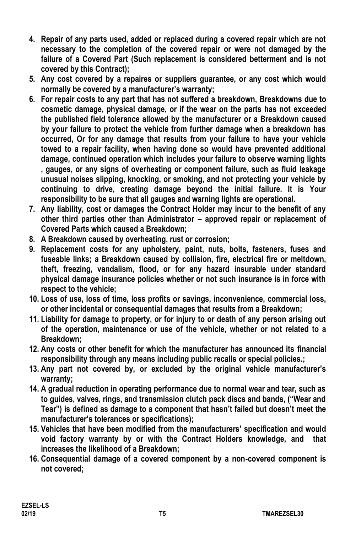- **4. Repair of any parts used, added or replaced during a covered repair which are not necessary to the completion of the covered repair or were not damaged by the failure of a Covered Part (Such replacement is considered betterment and is not covered by this Contract);**
- **5. Any cost covered by a repaires or suppliers guarantee, or any cost which would normally be covered by a manufacturer's warranty;**
- **6. For repair costs to any part that has not suffered a breakdown, Breakdowns due to cosmetic damage, physical damage, or if the wear on the parts has not exceeded the published field tolerance allowed by the manufacturer or a Breakdown caused by your failure to protect the vehicle from further damage when a breakdown has occurred, Or for any damage that results from your failure to have your vehicle towed to a repair facility, when having done so would have prevented additional damage, continued operation which includes your failure to observe warning lights , gauges, or any signs of overheating or component failure, such as fluid leakage unusual noises slipping, knocking, or smoking, and not protecting your vehicle by continuing to drive, creating damage beyond the initial failure. It is Your responsibility to be sure that all gauges and warning lights are operational.**
- **7. Any liability, cost or damages the Contract Holder may incur to the benefit of any other third parties other than Administrator – approved repair or replacement of Covered Parts which caused a Breakdown;**
- **8. A Breakdown caused by overheating, rust or corrosion;**
- **9. Replacement costs for any upholstery, paint, nuts, bolts, fasteners, fuses and fuseable links; a Breakdown caused by collision, fire, electrical fire or meltdown, theft, freezing, vandalism, flood, or for any hazard insurable under standard physical damage insurance policies whether or not such insurance is in force with respect to the vehicle;**
- **10. Loss of use, loss of time, loss profits or savings, inconvenience, commercial loss, or other incidental or consequential damages that results from a Breakdown;**
- **11. Liability for damage to property, or for injury to or death of any person arising out of the operation, maintenance or use of the vehicle, whether or not related to a Breakdown;**
- **12. Any costs or other benefit for which the manufacturer has announced its financial responsibility through any means including public recalls or special policies.;**
- **13. Any part not covered by, or excluded by the original vehicle manufacturer's warranty;**
- **14. A gradual reduction in operating performance due to normal wear and tear, such as to guides, valves, rings, and transmission clutch pack discs and bands, ("Wear and Tear") is defined as damage to a component that hasn't failed but doesn't meet the manufacturer's tolerances or specifications);**
- **15. Vehicles that have been modified from the manufacturers' specification and would void factory warranty by or with the Contract Holders knowledge, and that increases the likelihood of a Breakdown;**
- **16. Consequential damage of a covered component by a non-covered component is not covered;**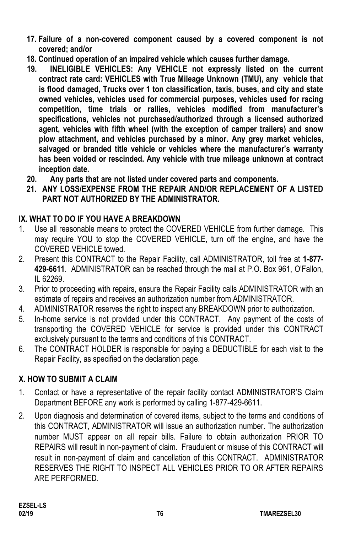- **17. Failure of a non-covered component caused by a covered component is not covered; and/or**
- **18. Continued operation of an impaired vehicle which causes further damage.**
- **19. INELIGIBLE VEHICLES: Any VEHICLE not expressly listed on the current contract rate card: VEHICLES with True Mileage Unknown (TMU), any vehicle that is flood damaged, Trucks over 1 ton classification, taxis, buses, and city and state owned vehicles, vehicles used for commercial purposes, vehicles used for racing competition, time trials or rallies, vehicles modified from manufacturer's specifications, vehicles not purchased/authorized through a licensed authorized agent, vehicles with fifth wheel (with the exception of camper trailers) and snow plow attachment, and vehicles purchased by a minor. Any grey market vehicles, salvaged or branded title vehicle or vehicles where the manufacturer's warranty has been voided or rescinded. Any vehicle with true mileage unknown at contract inception date.**
- **20. Any parts that are not listed under covered parts and components.**
- **21. ANY LOSS/EXPENSE FROM THE REPAIR AND/OR REPLACEMENT OF A LISTED PART NOT AUTHORIZED BY THE ADMINISTRATOR.**

## **IX. WHAT TO DO IF YOU HAVE A BREAKDOWN**

- 1. Use all reasonable means to protect the COVERED VEHICLE from further damage. This may require YOU to stop the COVERED VEHICLE, turn off the engine, and have the COVERED VEHICLE towed.
- 2. Present this CONTRACT to the Repair Facility, call ADMINISTRATOR, toll free at **1-877- 429-6611**. ADMINISTRATOR can be reached through the mail at P.O. Box 961, O'Fallon, IL 62269.
- 3. Prior to proceeding with repairs, ensure the Repair Facility calls ADMINISTRATOR with an estimate of repairs and receives an authorization number from ADMINISTRATOR.
- 4. ADMINISTRATOR reserves the right to inspect any BREAKDOWN prior to authorization.
- 5. In-home service is not provided under this CONTRACT. Any payment of the costs of transporting the COVERED VEHICLE for service is provided under this CONTRACT exclusively pursuant to the terms and conditions of this CONTRACT.
- 6. The CONTRACT HOLDER is responsible for paying a DEDUCTIBLE for each visit to the Repair Facility, as specified on the declaration page.

## **X. HOW TO SUBMIT A CLAIM**

- 1. Contact or have a representative of the repair facility contact ADMINISTRATOR'S Claim Department BEFORE any work is performed by calling 1-877-429-6611.
- 2. Upon diagnosis and determination of covered items, subject to the terms and conditions of this CONTRACT, ADMINISTRATOR will issue an authorization number. The authorization number MUST appear on all repair bills. Failure to obtain authorization PRIOR TO REPAIRS will result in non-payment of claim. Fraudulent or misuse of this CONTRACT will result in non-payment of claim and cancellation of this CONTRACT. ADMINISTRATOR RESERVES THE RIGHT TO INSPECT ALL VEHICLES PRIOR TO OR AFTER REPAIRS ARE PERFORMED.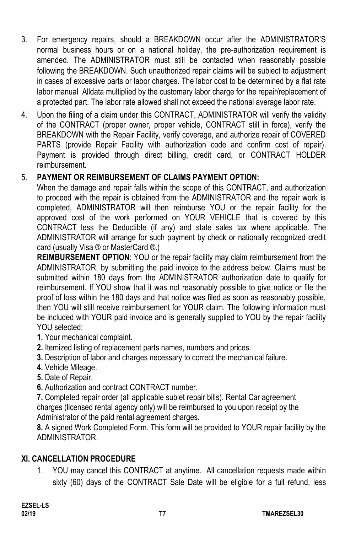- 3. For emergency repairs, should a BREAKDOWN occur after the ADMINISTRATOR'S normal business hours or on a national holiday, the pre-authorization requirement is amended. The ADMINISTRATOR must still be contacted when reasonably possible following the BREAKDOWN. Such unauthorized repair claims will be subject to adjustment in cases of excessive parts or labor charges. The labor cost to be determined by a flat rate labor manual Alldata multiplied by the customary labor charge for the repair/replacement of a protected part. The labor rate allowed shall not exceed the national average labor rate.
- 4. Upon the filing of a claim under this CONTRACT, ADMINISTRATOR will verify the validity of the CONTRACT (proper owner, proper vehicle, CONTRACT still in force), verify the BREAKDOWN with the Repair Facility, verify coverage, and authorize repair of COVERED PARTS (provide Repair Facility with authorization code and confirm cost of repair). Payment is provided through direct billing, credit card, or CONTRACT HOLDER reimbursement.

## 5. **PAYMENT OR REIMBURSEMENT OF CLAIMS PAYMENT OPTION:**

When the damage and repair falls within the scope of this CONTRACT, and authorization to proceed with the repair is obtained from the ADMINISTRATOR and the repair work is completed, ADMINISTRATOR will then reimburse YOU or the repair facility for the approved cost of the work performed on YOUR VEHICLE that is covered by this CONTRACT less the Deductible (if any) and state sales tax where applicable. The ADMINISTRATOR will arrange for such payment by check or nationally recognized credit card (usually Visa ® or MasterCard ®.)

**REIMBURSEMENT OPTION**: YOU or the repair facility may claim reimbursement from the ADMINISTRATOR, by submitting the paid invoice to the address below. Claims must be submitted within 180 days from the ADMINISTRATOR authorization date to qualify for reimbursement. If YOU show that it was not reasonably possible to give notice or file the proof of loss within the 180 days and that notice was filed as soon as reasonably possible, then YOU will still receive reimbursement for YOUR claim. The following information must be included with YOUR paid invoice and is generally supplied to YOU by the repair facility YOU selected:

- **1.** Your mechanical complaint.
- **2.** Itemized listing of replacement parts names, numbers and prices.
- **3.** Description of labor and charges necessary to correct the mechanical failure.
- **4.** Vehicle Mileage.
- **5.** Date of Repair.
- **6.** Authorization and contract CONTRACT number.

**7.** Completed repair order (all applicable sublet repair bills). Rental Car agreement charges (licensed rental agency only) will be reimbursed to you upon receipt by the Administrator of the paid rental agreement charges.

**8.** A signed Work Completed Form. This form will be provided to YOUR repair facility by the ADMINISTRATOR.

#### **XI. CANCELLATION PROCEDURE**

1. YOU may cancel this CONTRACT at anytime. All cancellation requests made within sixty (60) days of the CONTRACT Sale Date will be eligible for a full refund, less